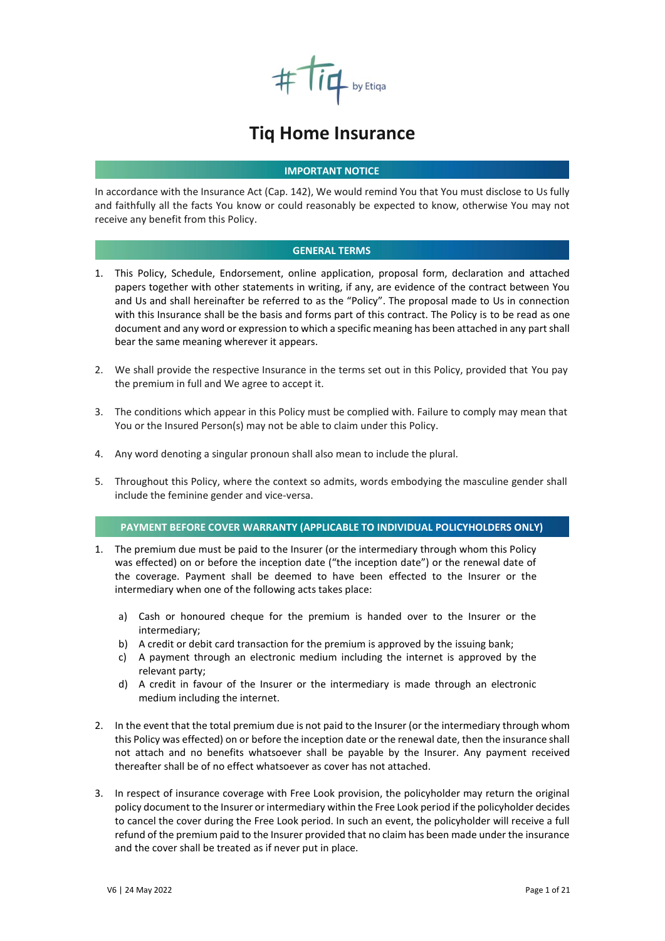

# **Tiq Home Insurance**

# **IMPORTANT NOTICE**

In accordance with the Insurance Act (Cap. 142), We would remind You that You must disclose to Us fully and faithfully all the facts You know or could reasonably be expected to know, otherwise You may not receive any benefit from this Policy.

# **GENERAL TERMS**

- 1. This Policy, Schedule, Endorsement, online application, proposal form, declaration and attached papers together with other statements in writing, if any, are evidence of the contract between You and Us and shall hereinafter be referred to as the "Policy". The proposal made to Us in connection with this Insurance shall be the basis and forms part of this contract. The Policy is to be read as one document and any word or expression to which a specific meaning has been attached in any part shall bear the same meaning wherever it appears.
- 2. We shall provide the respective Insurance in the terms set out in this Policy, provided that You pay the premium in full and We agree to accept it.
- 3. The conditions which appear in this Policy must be complied with. Failure to comply may mean that You or the Insured Person(s) may not be able to claim under this Policy.
- 4. Any word denoting a singular pronoun shall also mean to include the plural.
- 5. Throughout this Policy, where the context so admits, words embodying the masculine gender shall include the feminine gender and vice-versa.

# **PAYMENT BEFORE COVER WARRANTY (APPLICABLE TO INDIVIDUAL POLICYHOLDERS ONLY)**

- 1. The premium due must be paid to the Insurer (or the intermediary through whom this Policy was effected) on or before the inception date ("the inception date") or the renewal date of the coverage. Payment shall be deemed to have been effected to the Insurer or the intermediary when one of the following acts takes place:
	- a) Cash or honoured cheque for the premium is handed over to the Insurer or the intermediary;
	- b) A credit or debit card transaction for the premium is approved by the issuing bank;
	- c) A payment through an electronic medium including the internet is approved by the relevant party;
	- d) A credit in favour of the Insurer or the intermediary is made through an electronic medium including the internet.
- 2. In the event that the total premium due is not paid to the Insurer (or the intermediary through whom this Policy was effected) on or before the inception date or the renewal date, then the insurance shall not attach and no benefits whatsoever shall be payable by the Insurer. Any payment received thereafter shall be of no effect whatsoever as cover has not attached.
- 3. In respect of insurance coverage with Free Look provision, the policyholder may return the original policy document to the Insurer or intermediary within the Free Look period if the policyholder decides to cancel the cover during the Free Look period. In such an event, the policyholder will receive a full refund of the premium paid to the Insurer provided that no claim has been made under the insurance and the cover shall be treated as if never put in place.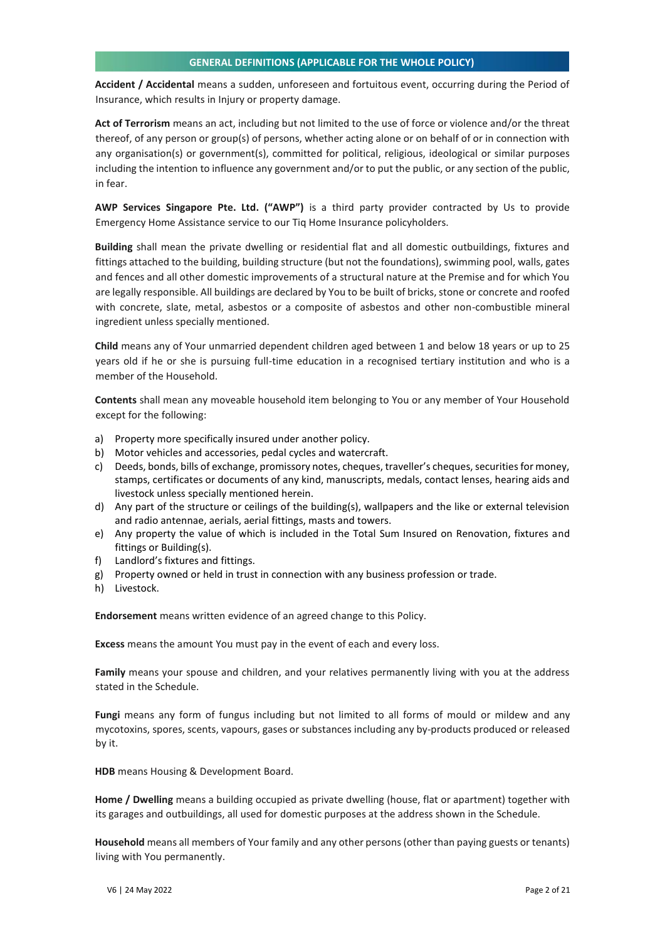## **GENERAL DEFINITIONS (APPLICABLE FOR THE WHOLE POLICY)**

**Accident / Accidental** means a sudden, unforeseen and fortuitous event, occurring during the Period of Insurance, which results in Injury or property damage.

**Act of Terrorism** means an act, including but not limited to the use of force or violence and/or the threat thereof, of any person or group(s) of persons, whether acting alone or on behalf of or in connection with any organisation(s) or government(s), committed for political, religious, ideological or similar purposes including the intention to influence any government and/or to put the public, or any section of the public, in fear.

**AWP Services Singapore Pte. Ltd. ("AWP")** is a third party provider contracted by Us to provide Emergency Home Assistance service to our Tiq Home Insurance policyholders.

**Building** shall mean the private dwelling or residential flat and all domestic outbuildings, fixtures and fittings attached to the building, building structure (but not the foundations), swimming pool, walls, gates and fences and all other domestic improvements of a structural nature at the Premise and for which You are legally responsible. All buildings are declared by You to be built of bricks, stone or concrete and roofed with concrete, slate, metal, asbestos or a composite of asbestos and other non-combustible mineral ingredient unless specially mentioned.

**Child** means any of Your unmarried dependent children aged between 1 and below 18 years or up to 25 years old if he or she is pursuing full-time education in a recognised tertiary institution and who is a member of the Household.

**Contents** shall mean any moveable household item belonging to You or any member of Your Household except for the following:

- a) Property more specifically insured under another policy.
- b) Motor vehicles and accessories, pedal cycles and watercraft.
- c) Deeds, bonds, bills of exchange, promissory notes, cheques, traveller's cheques, securities for money, stamps, certificates or documents of any kind, manuscripts, medals, contact lenses, hearing aids and livestock unless specially mentioned herein.
- d) Any part of the structure or ceilings of the building(s), wallpapers and the like or external television and radio antennae, aerials, aerial fittings, masts and towers.
- e) Any property the value of which is included in the Total Sum Insured on Renovation, fixtures and fittings or Building(s).
- f) Landlord's fixtures and fittings.
- g) Property owned or held in trust in connection with any business profession or trade.
- h) Livestock.

**Endorsement** means written evidence of an agreed change to this Policy.

**Excess** means the amount You must pay in the event of each and every loss.

**Family** means your spouse and children, and your relatives permanently living with you at the address stated in the Schedule.

**Fungi** means any form of fungus including but not limited to all forms of mould or mildew and any mycotoxins, spores, scents, vapours, gases or substances including any by-products produced or released by it.

**HDB** means Housing & Development Board.

**Home / Dwelling** means a building occupied as private dwelling (house, flat or apartment) together with its garages and outbuildings, all used for domestic purposes at the address shown in the Schedule.

**Household** means all members of Your family and any other persons (other than paying guests or tenants) living with You permanently.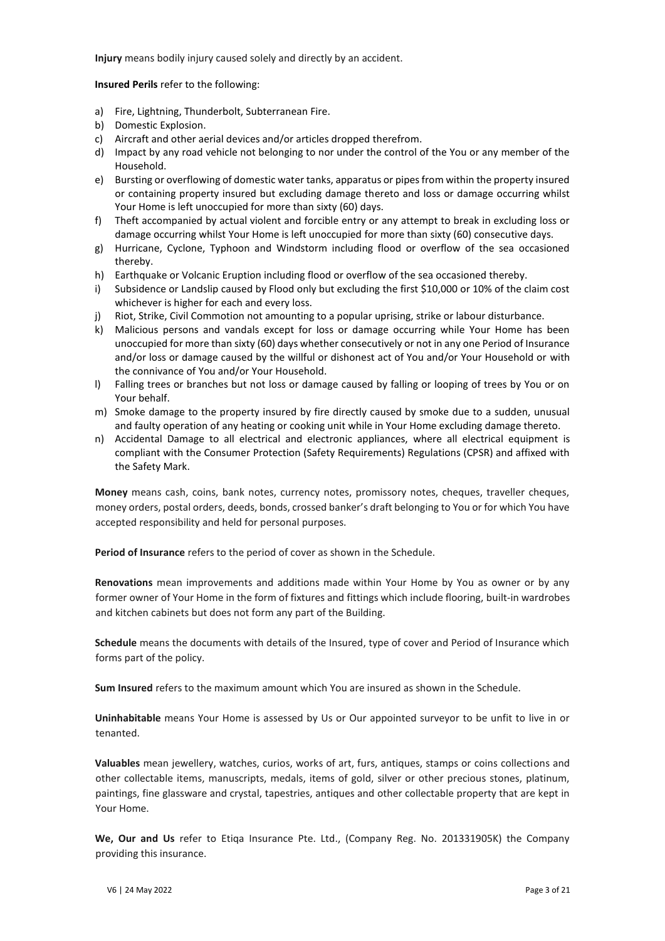**Injury** means bodily injury caused solely and directly by an accident.

**Insured Perils** refer to the following:

- a) Fire, Lightning, Thunderbolt, Subterranean Fire.
- b) Domestic Explosion.
- c) Aircraft and other aerial devices and/or articles dropped therefrom.
- d) Impact by any road vehicle not belonging to nor under the control of the You or any member of the Household.
- e) Bursting or overflowing of domestic water tanks, apparatus or pipes from within the property insured or containing property insured but excluding damage thereto and loss or damage occurring whilst Your Home is left unoccupied for more than sixty (60) days.
- f) Theft accompanied by actual violent and forcible entry or any attempt to break in excluding loss or damage occurring whilst Your Home is left unoccupied for more than sixty (60) consecutive days.
- g) Hurricane, Cyclone, Typhoon and Windstorm including flood or overflow of the sea occasioned thereby.
- h) Earthquake or Volcanic Eruption including flood or overflow of the sea occasioned thereby.
- i) Subsidence or Landslip caused by Flood only but excluding the first \$10,000 or 10% of the claim cost whichever is higher for each and every loss.
- j) Riot, Strike, Civil Commotion not amounting to a popular uprising, strike or labour disturbance.
- k) Malicious persons and vandals except for loss or damage occurring while Your Home has been unoccupied for more than sixty (60) days whether consecutively or not in any one Period of Insurance and/or loss or damage caused by the willful or dishonest act of You and/or Your Household or with the connivance of You and/or Your Household.
- l) Falling trees or branches but not loss or damage caused by falling or looping of trees by You or on Your behalf.
- m) Smoke damage to the property insured by fire directly caused by smoke due to a sudden, unusual and faulty operation of any heating or cooking unit while in Your Home excluding damage thereto.
- n) Accidental Damage to all electrical and electronic appliances, where all electrical equipment is compliant with the Consumer Protection (Safety Requirements) Regulations (CPSR) and affixed with the Safety Mark.

**Money** means cash, coins, bank notes, currency notes, promissory notes, cheques, traveller cheques, money orders, postal orders, deeds, bonds, crossed banker's draft belonging to You or for which You have accepted responsibility and held for personal purposes.

**Period of Insurance** refers to the period of cover as shown in the Schedule.

**Renovations** mean improvements and additions made within Your Home by You as owner or by any former owner of Your Home in the form of fixtures and fittings which include flooring, built-in wardrobes and kitchen cabinets but does not form any part of the Building.

**Schedule** means the documents with details of the Insured, type of cover and Period of Insurance which forms part of the policy.

**Sum Insured** refers to the maximum amount which You are insured as shown in the Schedule.

**Uninhabitable** means Your Home is assessed by Us or Our appointed surveyor to be unfit to live in or tenanted.

**Valuables** mean jewellery, watches, curios, works of art, furs, antiques, stamps or coins collections and other collectable items, manuscripts, medals, items of gold, silver or other precious stones, platinum, paintings, fine glassware and crystal, tapestries, antiques and other collectable property that are kept in Your Home.

**We, Our and Us** refer to Etiqa Insurance Pte. Ltd., (Company Reg. No. 201331905K) the Company providing this insurance.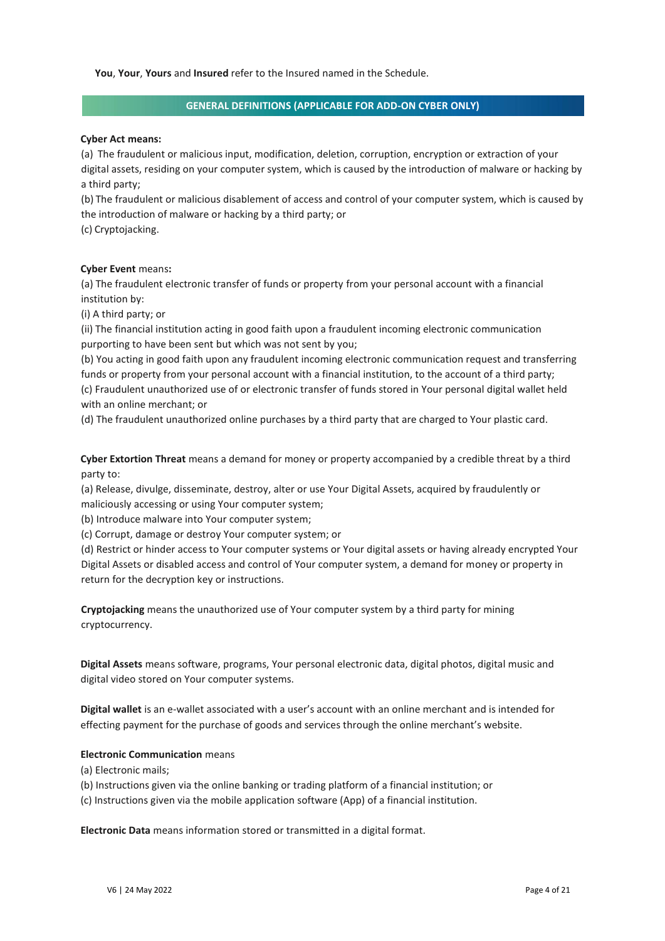**You**, **Your**, **Yours** and **Insured** refer to the Insured named in the Schedule.

# **GENERAL DEFINITIONS (APPLICABLE FOR ADD-ON CYBER ONLY)**

#### **Cyber Act means:**

(a) The fraudulent or malicious input, modification, deletion, corruption, encryption or extraction of your digital assets, residing on your computer system, which is caused by the introduction of malware or hacking by a third party;

(b) The fraudulent or malicious disablement of access and control of your computer system, which is caused by the introduction of malware or hacking by a third party; or

(c) Cryptojacking.

## **Cyber Event** means**:**

(a) The fraudulent electronic transfer of funds or property from your personal account with a financial institution by:

(i) A third party; or

(ii) The financial institution acting in good faith upon a fraudulent incoming electronic communication purporting to have been sent but which was not sent by you;

(b) You acting in good faith upon any fraudulent incoming electronic communication request and transferring funds or property from your personal account with a financial institution, to the account of a third party; (c) Fraudulent unauthorized use of or electronic transfer of funds stored in Your personal digital wallet held with an online merchant; or

(d) The fraudulent unauthorized online purchases by a third party that are charged to Your plastic card.

**Cyber Extortion Threat** means a demand for money or property accompanied by a credible threat by a third party to:

(a) Release, divulge, disseminate, destroy, alter or use Your Digital Assets, acquired by fraudulently or maliciously accessing or using Your computer system;

(b) Introduce malware into Your computer system;

(c) Corrupt, damage or destroy Your computer system; or

(d) Restrict or hinder access to Your computer systems or Your digital assets or having already encrypted Your Digital Assets or disabled access and control of Your computer system, a demand for money or property in return for the decryption key or instructions.

**Cryptojacking** means the unauthorized use of Your computer system by a third party for mining cryptocurrency.

**Digital Assets** means software, programs, Your personal electronic data, digital photos, digital music and digital video stored on Your computer systems.

**Digital wallet** is an e-wallet associated with a user's account with an online merchant and is intended for effecting payment for the purchase of goods and services through the online merchant's website.

# **Electronic Communication** means

(a) Electronic mails;

(b) Instructions given via the online banking or trading platform of a financial institution; or

(c) Instructions given via the mobile application software (App) of a financial institution.

**Electronic Data** means information stored or transmitted in a digital format.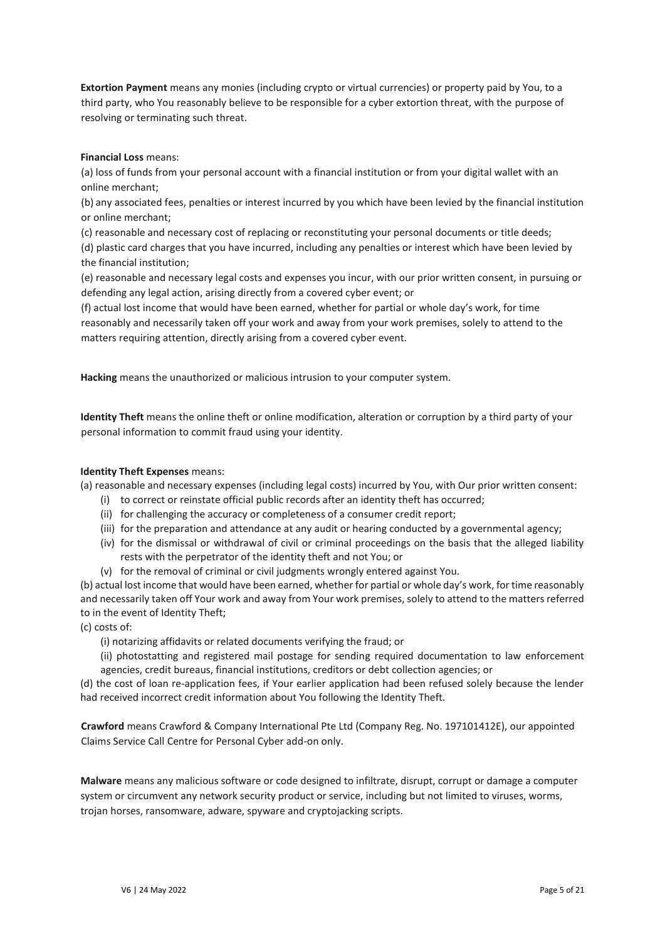**Extortion Payment** means any monies (including crypto or virtual currencies) or property paid by You, to a third party, who You reasonably believe to be responsible for a cyber extortion threat, with the purpose of resolving or terminating such threat.

# **Financial Loss** means:

(a) loss of funds from your personal account with a financial institution or from your digital wallet with an online merchant;

(b) any associated fees, penalties or interest incurred by you which have been levied by the financial institution or online merchant;

(c) reasonable and necessary cost of replacing or reconstituting your personal documents or title deeds;

(d) plastic card charges that you have incurred, including any penalties or interest which have been levied by the financial institution;

(e) reasonable and necessary legal costs and expenses you incur, with our prior written consent, in pursuing or defending any legal action, arising directly from a covered cyber event; or

(f) actual lost income that would have been earned, whether for partial or whole day's work, for time reasonably and necessarily taken off your work and away from your work premises, solely to attend to the matters requiring attention, directly arising from a covered cyber event.

**Hacking** means the unauthorized or malicious intrusion to your computer system.

**Identity Theft** means the online theft or online modification, alteration or corruption by a third party of your personal information to commit fraud using your identity.

# **Identity Theft Expenses** means:

(a) reasonable and necessary expenses (including legal costs) incurred by You, with Our prior written consent:

- (i) to correct or reinstate official public records after an identity theft has occurred;
- (ii) for challenging the accuracy or completeness of a consumer credit report;
- (iii) for the preparation and attendance at any audit or hearing conducted by a governmental agency;
- (iv) for the dismissal or withdrawal of civil or criminal proceedings on the basis that the alleged liability rests with the perpetrator of the identity theft and not You; or
- (v) for the removal of criminal or civil judgments wrongly entered against You.

(b) actual lost income that would have been earned, whether for partial or whole day's work, for time reasonably and necessarily taken off Your work and away from Your work premises, solely to attend to the matters referred to in the event of Identity Theft;

(c) costs of:

(i) notarizing affidavits or related documents verifying the fraud; or

(ii) photostatting and registered mail postage for sending required documentation to law enforcement agencies, credit bureaus, financial institutions, creditors or debt collection agencies; or

(d) the cost of loan re-application fees, if Your earlier application had been refused solely because the lender had received incorrect credit information about You following the Identity Theft.

**Crawford** means Crawford & Company International Pte Ltd (Company Reg. No. 197101412E), our appointed Claims Service Call Centre for Personal Cyber add-on only.

**Malware** means any malicious software or code designed to infiltrate, disrupt, corrupt or damage a computer system or circumvent any network security product or service, including but not limited to viruses, worms, trojan horses, ransomware, adware, spyware and cryptojacking scripts.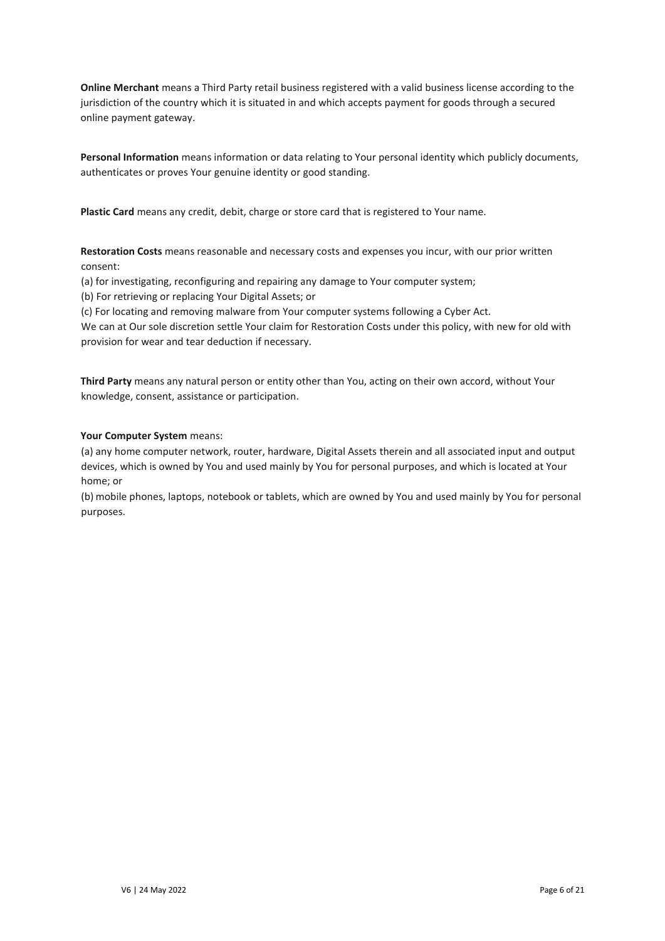**Online Merchant** means a Third Party retail business registered with a valid business license according to the jurisdiction of the country which it is situated in and which accepts payment for goods through a secured online payment gateway.

**Personal Information** means information or data relating to Your personal identity which publicly documents, authenticates or proves Your genuine identity or good standing.

**Plastic Card** means any credit, debit, charge or store card that is registered to Your name.

**Restoration Costs** means reasonable and necessary costs and expenses you incur, with our prior written consent:

(a) for investigating, reconfiguring and repairing any damage to Your computer system;

(b) For retrieving or replacing Your Digital Assets; or

(c) For locating and removing malware from Your computer systems following a Cyber Act.

We can at Our sole discretion settle Your claim for Restoration Costs under this policy, with new for old with provision for wear and tear deduction if necessary.

**Third Party** means any natural person or entity other than You, acting on their own accord, without Your knowledge, consent, assistance or participation.

# **Your Computer System** means:

(a) any home computer network, router, hardware, Digital Assets therein and all associated input and output devices, which is owned by You and used mainly by You for personal purposes, and which is located at Your home; or

(b) mobile phones, laptops, notebook or tablets, which are owned by You and used mainly by You for personal purposes.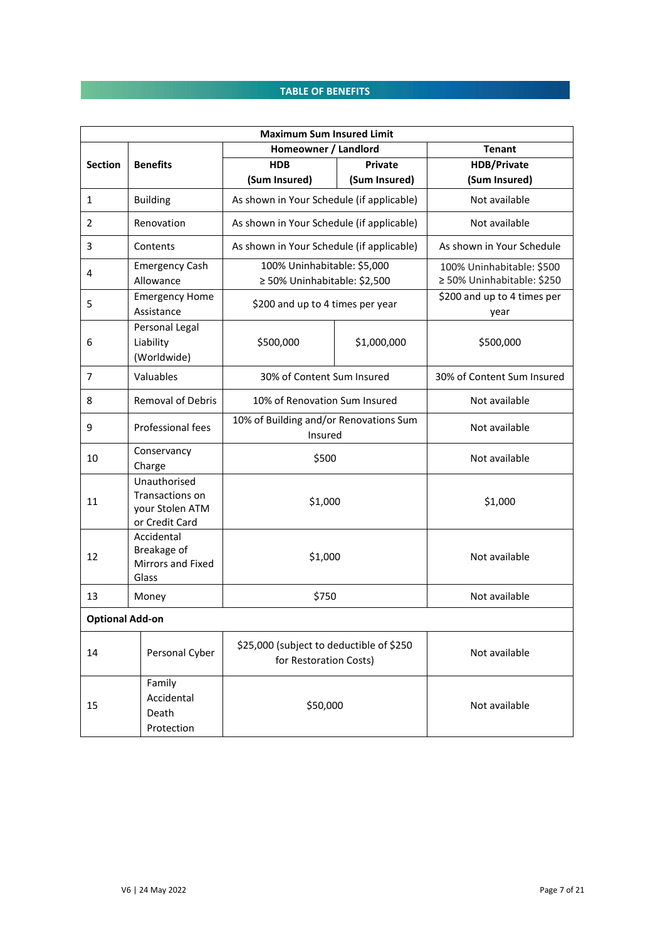# **TABLE OF BENEFITS**

| <b>Maximum Sum Insured Limit</b> |                                                                      |                                                                    |                |                                                         |  |  |
|----------------------------------|----------------------------------------------------------------------|--------------------------------------------------------------------|----------------|---------------------------------------------------------|--|--|
|                                  |                                                                      | Homeowner / Landlord                                               |                | <b>Tenant</b>                                           |  |  |
| <b>Section</b>                   | <b>Benefits</b>                                                      | <b>HDB</b>                                                         | <b>Private</b> | <b>HDB/Private</b>                                      |  |  |
|                                  |                                                                      | (Sum Insured)                                                      | (Sum Insured)  | (Sum Insured)                                           |  |  |
| $\mathbf{1}$                     | <b>Building</b>                                                      | As shown in Your Schedule (if applicable)                          |                | Not available                                           |  |  |
| 2                                | Renovation                                                           | As shown in Your Schedule (if applicable)                          |                | Not available                                           |  |  |
| 3                                | Contents                                                             | As shown in Your Schedule (if applicable)                          |                | As shown in Your Schedule                               |  |  |
| 4                                | <b>Emergency Cash</b><br>Allowance                                   | 100% Uninhabitable: \$5,000<br>≥ 50% Uninhabitable: \$2,500        |                | 100% Uninhabitable: \$500<br>≥ 50% Uninhabitable: \$250 |  |  |
| 5                                | <b>Emergency Home</b><br>Assistance                                  | \$200 and up to 4 times per year                                   |                | \$200 and up to 4 times per<br>year                     |  |  |
| 6                                | Personal Legal<br>Liability<br>(Worldwide)                           | \$500,000                                                          | \$1,000,000    | \$500,000                                               |  |  |
| 7                                | Valuables                                                            | 30% of Content Sum Insured                                         |                | 30% of Content Sum Insured                              |  |  |
| 8                                | <b>Removal of Debris</b>                                             | 10% of Renovation Sum Insured                                      |                | Not available                                           |  |  |
| 9                                | Professional fees                                                    | 10% of Building and/or Renovations Sum<br>Insured                  |                | Not available                                           |  |  |
| 10                               | Conservancy<br>Charge                                                | \$500                                                              |                | Not available                                           |  |  |
| 11                               | Unauthorised<br>Transactions on<br>your Stolen ATM<br>or Credit Card | \$1,000                                                            |                | \$1,000                                                 |  |  |
| 12                               | Accidental<br>Breakage of<br>Mirrors and Fixed<br>Glass              | \$1,000                                                            |                | Not available                                           |  |  |
| 13                               | Money                                                                | \$750                                                              |                | Not available                                           |  |  |
| <b>Optional Add-on</b>           |                                                                      |                                                                    |                |                                                         |  |  |
| 14                               | Personal Cyber                                                       | \$25,000 (subject to deductible of \$250<br>for Restoration Costs) |                | Not available                                           |  |  |
| 15                               | Family<br>Accidental<br>Death<br>Protection                          | \$50,000                                                           |                | Not available                                           |  |  |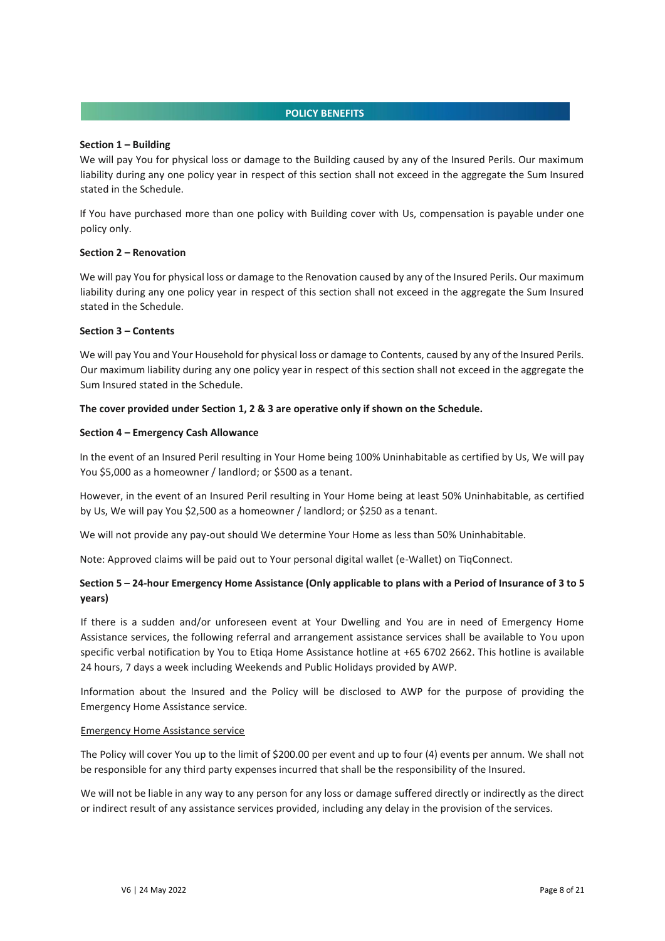## **POLICY BENEFITS**

## **Section 1 – Building**

We will pay You for physical loss or damage to the Building caused by any of the Insured Perils. Our maximum liability during any one policy year in respect of this section shall not exceed in the aggregate the Sum Insured stated in the Schedule.

If You have purchased more than one policy with Building cover with Us, compensation is payable under one policy only.

#### **Section 2 – Renovation**

We will pay You for physical loss or damage to the Renovation caused by any of the Insured Perils. Our maximum liability during any one policy year in respect of this section shall not exceed in the aggregate the Sum Insured stated in the Schedule.

## **Section 3 – Contents**

We will pay You and Your Household for physical loss or damage to Contents, caused by any of the Insured Perils. Our maximum liability during any one policy year in respect of this section shall not exceed in the aggregate the Sum Insured stated in the Schedule.

## **The cover provided under Section 1, 2 & 3 are operative only if shown on the Schedule.**

#### **Section 4 – Emergency Cash Allowance**

In the event of an Insured Peril resulting in Your Home being 100% Uninhabitable as certified by Us, We will pay You \$5,000 as a homeowner / landlord; or \$500 as a tenant.

However, in the event of an Insured Peril resulting in Your Home being at least 50% Uninhabitable, as certified by Us, We will pay You \$2,500 as a homeowner / landlord; or \$250 as a tenant.

We will not provide any pay-out should We determine Your Home as less than 50% Uninhabitable.

Note: Approved claims will be paid out to Your personal digital wallet (e-Wallet) on TiqConnect.

# **Section 5 – 24-hour Emergency Home Assistance (Only applicable to plans with a Period of Insurance of 3 to 5 years)**

If there is a sudden and/or unforeseen event at Your Dwelling and You are in need of Emergency Home Assistance services, the following referral and arrangement assistance services shall be available to You upon specific verbal notification by You to Etiqa Home Assistance hotline at +65 6702 2662. This hotline is available 24 hours, 7 days a week including Weekends and Public Holidays provided by AWP.

Information about the Insured and the Policy will be disclosed to AWP for the purpose of providing the Emergency Home Assistance service.

#### Emergency Home Assistance service

The Policy will cover You up to the limit of \$200.00 per event and up to four (4) events per annum. We shall not be responsible for any third party expenses incurred that shall be the responsibility of the Insured.

We will not be liable in any way to any person for any loss or damage suffered directly or indirectly as the direct or indirect result of any assistance services provided, including any delay in the provision of the services.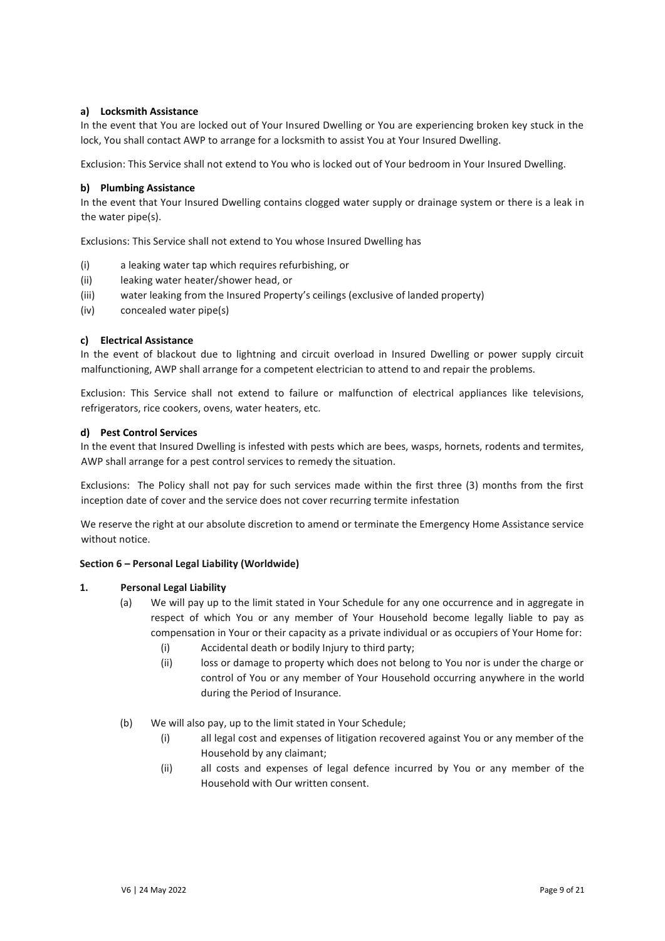# **a) Locksmith Assistance**

In the event that You are locked out of Your Insured Dwelling or You are experiencing broken key stuck in the lock, You shall contact AWP to arrange for a locksmith to assist You at Your Insured Dwelling.

Exclusion: This Service shall not extend to You who is locked out of Your bedroom in Your Insured Dwelling.

# **b) Plumbing Assistance**

In the event that Your Insured Dwelling contains clogged water supply or drainage system or there is a leak in the water pipe(s).

Exclusions: This Service shall not extend to You whose Insured Dwelling has

- (i) a leaking water tap which requires refurbishing, or
- (ii) leaking water heater/shower head, or
- (iii) water leaking from the Insured Property's ceilings (exclusive of landed property)
- (iv) concealed water pipe(s)

# **c) Electrical Assistance**

In the event of blackout due to lightning and circuit overload in Insured Dwelling or power supply circuit malfunctioning, AWP shall arrange for a competent electrician to attend to and repair the problems.

Exclusion: This Service shall not extend to failure or malfunction of electrical appliances like televisions, refrigerators, rice cookers, ovens, water heaters, etc.

# **d) Pest Control Services**

In the event that Insured Dwelling is infested with pests which are bees, wasps, hornets, rodents and termites, AWP shall arrange for a pest control services to remedy the situation.

Exclusions: The Policy shall not pay for such services made within the first three (3) months from the first inception date of cover and the service does not cover recurring termite infestation

We reserve the right at our absolute discretion to amend or terminate the Emergency Home Assistance service without notice.

# **Section 6 – Personal Legal Liability (Worldwide)**

# **1. Personal Legal Liability**

- (a) We will pay up to the limit stated in Your Schedule for any one occurrence and in aggregate in respect of which You or any member of Your Household become legally liable to pay as compensation in Your or their capacity as a private individual or as occupiers of Your Home for:
	- (i) Accidental death or bodily Injury to third party;
	- (ii) loss or damage to property which does not belong to You nor is under the charge or control of You or any member of Your Household occurring anywhere in the world during the Period of Insurance.
- (b) We will also pay, up to the limit stated in Your Schedule;
	- (i) all legal cost and expenses of litigation recovered against You or any member of the Household by any claimant;
	- (ii) all costs and expenses of legal defence incurred by You or any member of the Household with Our written consent.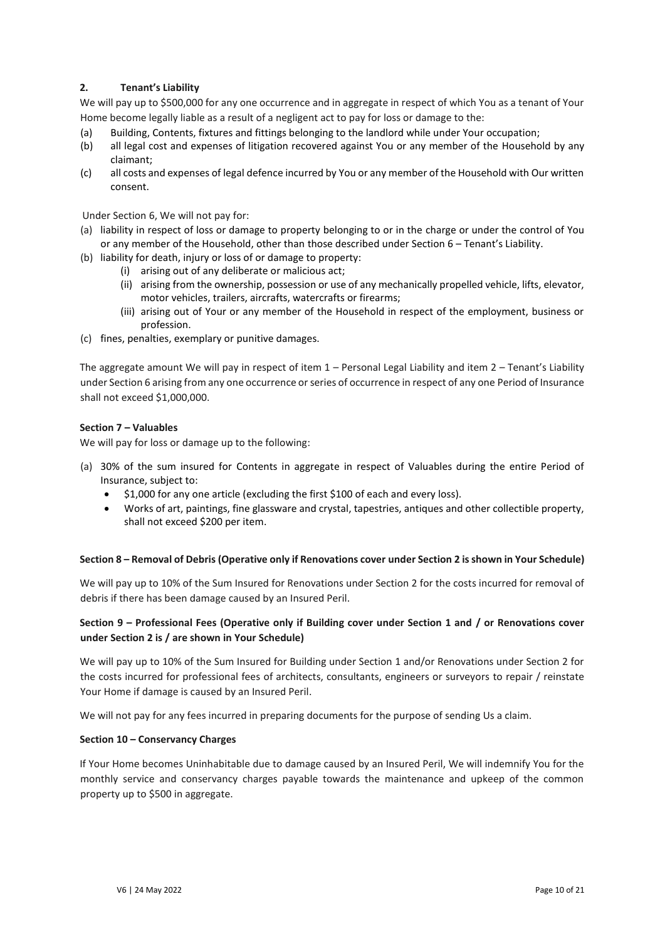# **2. Tenant's Liability**

We will pay up to \$500,000 for any one occurrence and in aggregate in respect of which You as a tenant of Your Home become legally liable as a result of a negligent act to pay for loss or damage to the:

- (a) Building, Contents, fixtures and fittings belonging to the landlord while under Your occupation;
- (b) all legal cost and expenses of litigation recovered against You or any member of the Household by any claimant;
- (c) all costs and expenses of legal defence incurred by You or any member of the Household with Our written consent.

Under Section 6, We will not pay for:

- (a) liability in respect of loss or damage to property belonging to or in the charge or under the control of You or any member of the Household, other than those described under Section 6 – Tenant's Liability.
- (b) liability for death, injury or loss of or damage to property:
	- (i) arising out of any deliberate or malicious act;
	- (ii) arising from the ownership, possession or use of any mechanically propelled vehicle, lifts, elevator, motor vehicles, trailers, aircrafts, watercrafts or firearms;
	- (iii) arising out of Your or any member of the Household in respect of the employment, business or profession.
- (c) fines, penalties, exemplary or punitive damages.

The aggregate amount We will pay in respect of item 1 – Personal Legal Liability and item 2 – Tenant's Liability under Section 6 arising from any one occurrence or series of occurrence in respect of any one Period of Insurance shall not exceed \$1,000,000.

## **Section 7 – Valuables**

We will pay for loss or damage up to the following:

- (a) 30% of the sum insured for Contents in aggregate in respect of Valuables during the entire Period of Insurance, subject to:
	- \$1,000 for any one article (excluding the first \$100 of each and every loss).
	- Works of art, paintings, fine glassware and crystal, tapestries, antiques and other collectible property, shall not exceed \$200 per item.

# **Section 8 – Removal of Debris (Operative only if Renovations cover under Section 2 is shown in Your Schedule)**

We will pay up to 10% of the Sum Insured for Renovations under Section 2 for the costs incurred for removal of debris if there has been damage caused by an Insured Peril.

# **Section 9 – Professional Fees (Operative only if Building cover under Section 1 and / or Renovations cover under Section 2 is / are shown in Your Schedule)**

We will pay up to 10% of the Sum Insured for Building under Section 1 and/or Renovations under Section 2 for the costs incurred for professional fees of architects, consultants, engineers or surveyors to repair / reinstate Your Home if damage is caused by an Insured Peril.

We will not pay for any fees incurred in preparing documents for the purpose of sending Us a claim.

# **Section 10 – Conservancy Charges**

If Your Home becomes Uninhabitable due to damage caused by an Insured Peril, We will indemnify You for the monthly service and conservancy charges payable towards the maintenance and upkeep of the common property up to \$500 in aggregate.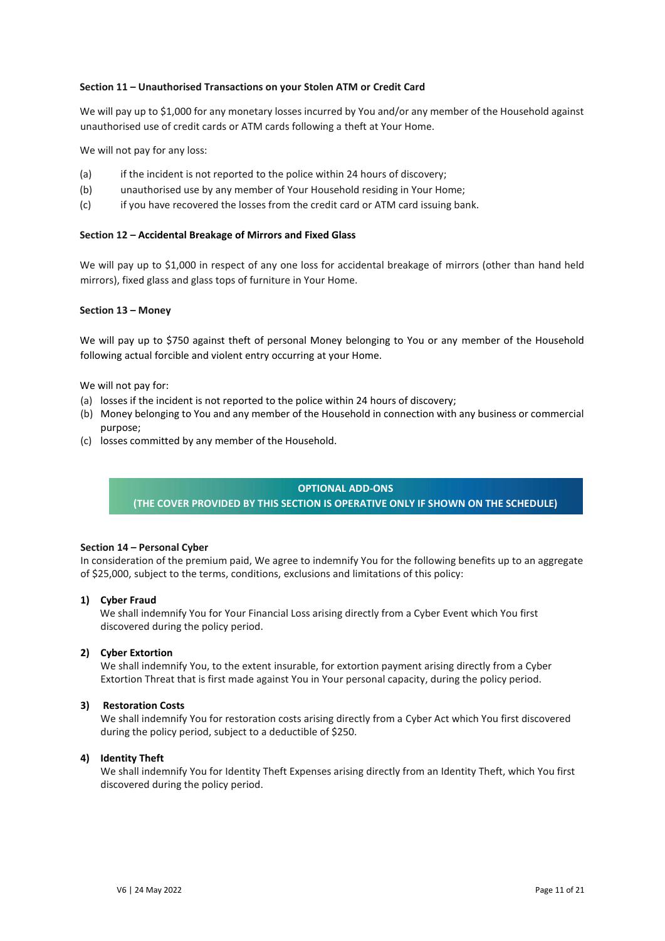# **Section 11 – Unauthorised Transactions on your Stolen ATM or Credit Card**

We will pay up to \$1,000 for any monetary losses incurred by You and/or any member of the Household against unauthorised use of credit cards or ATM cards following a theft at Your Home.

We will not pay for any loss:

- (a) if the incident is not reported to the police within 24 hours of discovery;
- (b) unauthorised use by any member of Your Household residing in Your Home;
- (c) if you have recovered the losses from the credit card or ATM card issuing bank.

#### **Section 12 – Accidental Breakage of Mirrors and Fixed Glass**

We will pay up to \$1,000 in respect of any one loss for accidental breakage of mirrors (other than hand held mirrors), fixed glass and glass tops of furniture in Your Home.

#### **Section 13 – Money**

We will pay up to \$750 against theft of personal Money belonging to You or any member of the Household following actual forcible and violent entry occurring at your Home.

We will not pay for:

- (a) losses if the incident is not reported to the police within 24 hours of discovery;
- (b) Money belonging to You and any member of the Household in connection with any business or commercial purpose;
- (c) losses committed by any member of the Household.

# **OPTIONAL ADD-ONS**

**(THE COVER PROVIDED BY THIS SECTION IS OPERATIVE ONLY IF SHOWN ON THE SCHEDULE)**

#### **Section 14 – Personal Cyber**

In consideration of the premium paid, We agree to indemnify You for the following benefits up to an aggregate of \$25,000, subject to the terms, conditions, exclusions and limitations of this policy:

#### **1) Cyber Fraud**

We shall indemnify You for Your Financial Loss arising directly from a Cyber Event which You first discovered during the policy period.

## **2) Cyber Extortion**

We shall indemnify You, to the extent insurable, for extortion payment arising directly from a Cyber Extortion Threat that is first made against You in Your personal capacity, during the policy period.

#### **3) Restoration Costs**

We shall indemnify You for restoration costs arising directly from a Cyber Act which You first discovered during the policy period, subject to a deductible of \$250.

#### **4) Identity Theft**

We shall indemnify You for Identity Theft Expenses arising directly from an Identity Theft, which You first discovered during the policy period.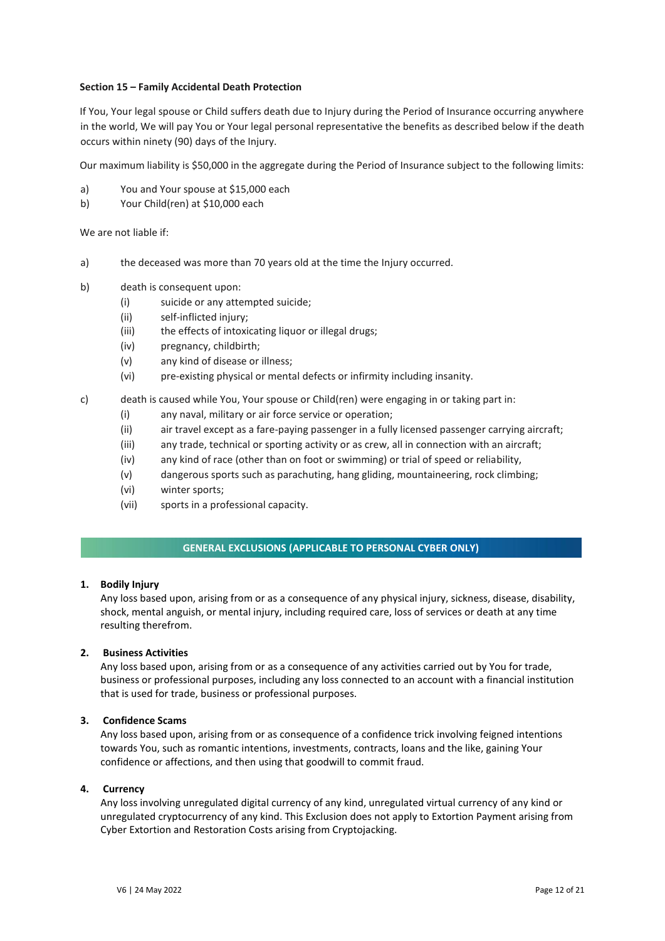# **Section 15 – Family Accidental Death Protection**

If You, Your legal spouse or Child suffers death due to Injury during the Period of Insurance occurring anywhere in the world, We will pay You or Your legal personal representative the benefits as described below if the death occurs within ninety (90) days of the Injury.

Our maximum liability is \$50,000 in the aggregate during the Period of Insurance subject to the following limits:

- a) You and Your spouse at \$15,000 each
- b) Your Child(ren) at \$10,000 each

We are not liable if:

- a) the deceased was more than 70 years old at the time the Injury occurred.
- b) death is consequent upon:
	- (i) suicide or any attempted suicide;
	- (ii) self-inflicted injury;
	- (iii) the effects of intoxicating liquor or illegal drugs;
	- (iv) pregnancy, childbirth;
	- (v) any kind of disease or illness;
	- (vi) pre-existing physical or mental defects or infirmity including insanity.
- c) death is caused while You, Your spouse or Child(ren) were engaging in or taking part in:
	- (i) any naval, military or air force service or operation;
	- (ii) air travel except as a fare-paying passenger in a fully licensed passenger carrying aircraft;
	- (iii) any trade, technical or sporting activity or as crew, all in connection with an aircraft;
	- (iv) any kind of race (other than on foot or swimming) or trial of speed or reliability,
	- (v) dangerous sports such as parachuting, hang gliding, mountaineering, rock climbing;
	- (vi) winter sports;
	- (vii) sports in a professional capacity.

## **GENERAL EXCLUSIONS (APPLICABLE TO PERSONAL CYBER ONLY)**

# **1. Bodily Injury**

Any loss based upon, arising from or as a consequence of any physical injury, sickness, disease, disability, shock, mental anguish, or mental injury, including required care, loss of services or death at any time resulting therefrom.

## **2. Business Activities**

Any loss based upon, arising from or as a consequence of any activities carried out by You for trade, business or professional purposes, including any loss connected to an account with a financial institution that is used for trade, business or professional purposes.

#### **3. Confidence Scams**

Any loss based upon, arising from or as consequence of a confidence trick involving feigned intentions towards You, such as romantic intentions, investments, contracts, loans and the like, gaining Your confidence or affections, and then using that goodwill to commit fraud.

# **4. Currency**

Any loss involving unregulated digital currency of any kind, unregulated virtual currency of any kind or unregulated cryptocurrency of any kind. This Exclusion does not apply to Extortion Payment arising from Cyber Extortion and Restoration Costs arising from Cryptojacking.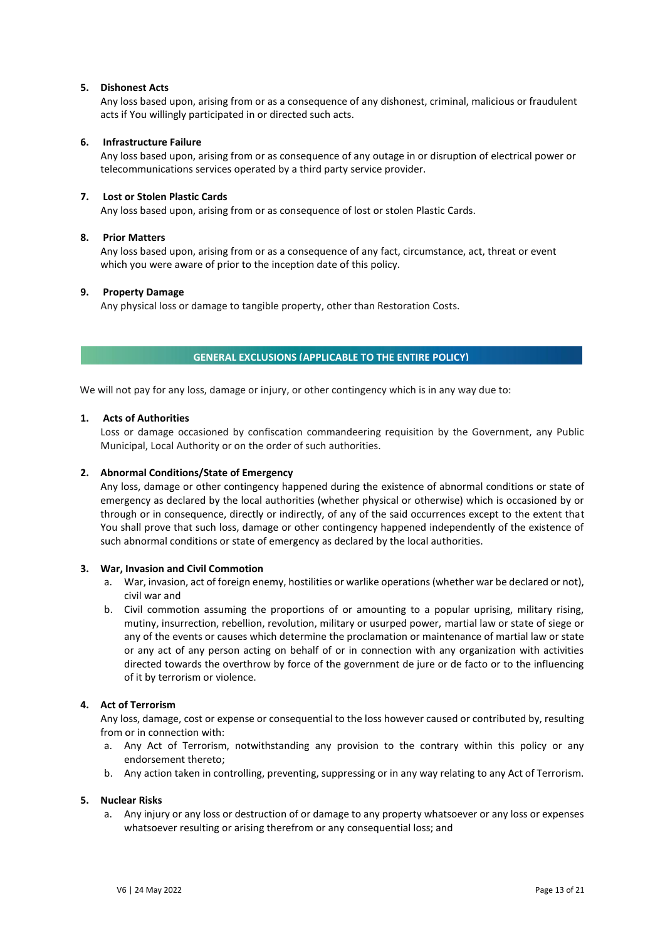# **5. Dishonest Acts**

Any loss based upon, arising from or as a consequence of any dishonest, criminal, malicious or fraudulent acts if You willingly participated in or directed such acts.

# **6. Infrastructure Failure**

Any loss based upon, arising from or as consequence of any outage in or disruption of electrical power or telecommunications services operated by a third party service provider.

# **7. Lost or Stolen Plastic Cards**

Any loss based upon, arising from or as consequence of lost or stolen Plastic Cards.

# **8. Prior Matters**

Any loss based upon, arising from or as a consequence of any fact, circumstance, act, threat or event which you were aware of prior to the inception date of this policy.

## **9. Property Damage**

Any physical loss or damage to tangible property, other than Restoration Costs.

## **GENERAL EXCLUSIONS (APPLICABLE TO THE ENTIRE POLICY)**

We will not pay for any loss, damage or injury, or other contingency which is in any way due to:

## **1. Acts of Authorities**

Loss or damage occasioned by confiscation commandeering requisition by the Government, any Public Municipal, Local Authority or on the order of such authorities.

#### **2. Abnormal Conditions/State of Emergency**

Any loss, damage or other contingency happened during the existence of abnormal conditions or state of emergency as declared by the local authorities (whether physical or otherwise) which is occasioned by or through or in consequence, directly or indirectly, of any of the said occurrences except to the extent that You shall prove that such loss, damage or other contingency happened independently of the existence of such abnormal conditions or state of emergency as declared by the local authorities.

# **3. War, Invasion and Civil Commotion**

- a. War, invasion, act of foreign enemy, hostilities or warlike operations (whether war be declared or not), civil war and
- b. Civil commotion assuming the proportions of or amounting to a popular uprising, military rising, mutiny, insurrection, rebellion, revolution, military or usurped power, martial law or state of siege or any of the events or causes which determine the proclamation or maintenance of martial law or state or any act of any person acting on behalf of or in connection with any organization with activities directed towards the overthrow by force of the government de jure or de facto or to the influencing of it by terrorism or violence.

#### **4. Act of Terrorism**

Any loss, damage, cost or expense or consequential to the loss however caused or contributed by, resulting from or in connection with:

- a. Any Act of Terrorism, notwithstanding any provision to the contrary within this policy or any endorsement thereto;
- b. Any action taken in controlling, preventing, suppressing or in any way relating to any Act of Terrorism.

## **5. Nuclear Risks**

a. Any injury or any loss or destruction of or damage to any property whatsoever or any loss or expenses whatsoever resulting or arising therefrom or any consequential loss; and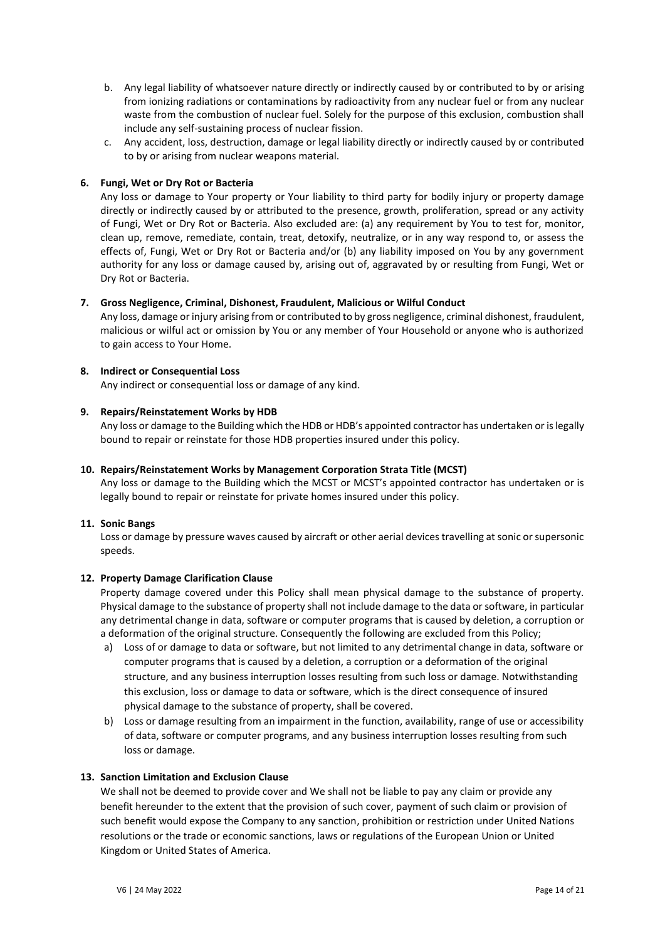- b. Any legal liability of whatsoever nature directly or indirectly caused by or contributed to by or arising from ionizing radiations or contaminations by radioactivity from any nuclear fuel or from any nuclear waste from the combustion of nuclear fuel. Solely for the purpose of this exclusion, combustion shall include any self-sustaining process of nuclear fission.
- c. Any accident, loss, destruction, damage or legal liability directly or indirectly caused by or contributed to by or arising from nuclear weapons material.

# **6. Fungi, Wet or Dry Rot or Bacteria**

Any loss or damage to Your property or Your liability to third party for bodily injury or property damage directly or indirectly caused by or attributed to the presence, growth, proliferation, spread or any activity of Fungi, Wet or Dry Rot or Bacteria. Also excluded are: (a) any requirement by You to test for, monitor, clean up, remove, remediate, contain, treat, detoxify, neutralize, or in any way respond to, or assess the effects of, Fungi, Wet or Dry Rot or Bacteria and/or (b) any liability imposed on You by any government authority for any loss or damage caused by, arising out of, aggravated by or resulting from Fungi, Wet or Dry Rot or Bacteria.

## **7. Gross Negligence, Criminal, Dishonest, Fraudulent, Malicious or Wilful Conduct**

Any loss, damage or injury arising from or contributed to by gross negligence, criminal dishonest, fraudulent, malicious or wilful act or omission by You or any member of Your Household or anyone who is authorized to gain access to Your Home.

## **8. Indirect or Consequential Loss**

Any indirect or consequential loss or damage of any kind.

# **9. Repairs/Reinstatement Works by HDB**

Any loss or damage to the Building which the HDB or HDB's appointed contractor has undertaken or is legally bound to repair or reinstate for those HDB properties insured under this policy.

## **10. Repairs/Reinstatement Works by Management Corporation Strata Title (MCST)**

Any loss or damage to the Building which the MCST or MCST's appointed contractor has undertaken or is legally bound to repair or reinstate for private homes insured under this policy.

#### **11. Sonic Bangs**

Loss or damage by pressure waves caused by aircraft or other aerial devices travelling at sonic or supersonic speeds.

#### **12. Property Damage Clarification Clause**

Property damage covered under this Policy shall mean physical damage to the substance of property. Physical damage to the substance of property shall not include damage to the data or software, in particular any detrimental change in data, software or computer programs that is caused by deletion, a corruption or a deformation of the original structure. Consequently the following are excluded from this Policy;

- a) Loss of or damage to data or software, but not limited to any detrimental change in data, software or computer programs that is caused by a deletion, a corruption or a deformation of the original structure, and any business interruption losses resulting from such loss or damage. Notwithstanding this exclusion, loss or damage to data or software, which is the direct consequence of insured physical damage to the substance of property, shall be covered.
- b) Loss or damage resulting from an impairment in the function, availability, range of use or accessibility of data, software or computer programs, and any business interruption losses resulting from such loss or damage.

#### **13. Sanction Limitation and Exclusion Clause**

We shall not be deemed to provide cover and We shall not be liable to pay any claim or provide any benefit hereunder to the extent that the provision of such cover, payment of such claim or provision of such benefit would expose the Company to any sanction, prohibition or restriction under United Nations resolutions or the trade or economic sanctions, laws or regulations of the European Union or United Kingdom or United States of America.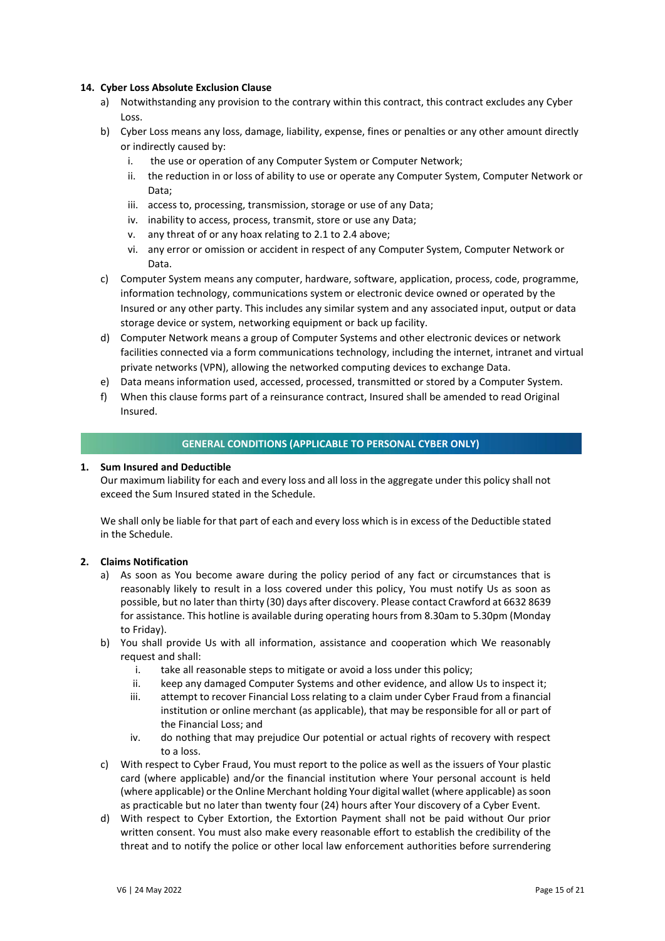# **14. Cyber Loss Absolute Exclusion Clause**

- a) Notwithstanding any provision to the contrary within this contract, this contract excludes any Cyber Loss.
- b) Cyber Loss means any loss, damage, liability, expense, fines or penalties or any other amount directly or indirectly caused by:
	- i. the use or operation of any Computer System or Computer Network;
	- ii. the reduction in or loss of ability to use or operate any Computer System, Computer Network or Data;
	- iii. access to, processing, transmission, storage or use of any Data;
	- iv. inability to access, process, transmit, store or use any Data;
	- v. any threat of or any hoax relating to 2.1 to 2.4 above;
	- vi. any error or omission or accident in respect of any Computer System, Computer Network or Data.
- c) Computer System means any computer, hardware, software, application, process, code, programme, information technology, communications system or electronic device owned or operated by the Insured or any other party. This includes any similar system and any associated input, output or data storage device or system, networking equipment or back up facility.
- d) Computer Network means a group of Computer Systems and other electronic devices or network facilities connected via a form communications technology, including the internet, intranet and virtual private networks (VPN), allowing the networked computing devices to exchange Data.
- e) Data means information used, accessed, processed, transmitted or stored by a Computer System.
- f) When this clause forms part of a reinsurance contract, Insured shall be amended to read Original Insured.

## **GENERAL CONDITIONS (APPLICABLE TO PERSONAL CYBER ONLY)**

#### **1. Sum Insured and Deductible**

Our maximum liability for each and every loss and all loss in the aggregate under this policy shall not exceed the Sum Insured stated in the Schedule.

We shall only be liable for that part of each and every loss which is in excess of the Deductible stated in the Schedule.

## **2. Claims Notification**

- a) As soon as You become aware during the policy period of any fact or circumstances that is reasonably likely to result in a loss covered under this policy, You must notify Us as soon as possible, but no later than thirty (30) days after discovery. Please contact Crawford at 6632 8639 for assistance. This hotline is available during operating hours from 8.30am to 5.30pm (Monday to Friday).
- b) You shall provide Us with all information, assistance and cooperation which We reasonably request and shall:
	- i. take all reasonable steps to mitigate or avoid a loss under this policy;
	- ii. keep any damaged Computer Systems and other evidence, and allow Us to inspect it;
	- iii. attempt to recover Financial Loss relating to a claim under Cyber Fraud from a financial institution or online merchant (as applicable), that may be responsible for all or part of the Financial Loss; and
	- iv. do nothing that may prejudice Our potential or actual rights of recovery with respect to a loss.
- c) With respect to Cyber Fraud, You must report to the police as well as the issuers of Your plastic card (where applicable) and/or the financial institution where Your personal account is held (where applicable) or the Online Merchant holding Your digital wallet (where applicable) as soon as practicable but no later than twenty four (24) hours after Your discovery of a Cyber Event.
- d) With respect to Cyber Extortion, the Extortion Payment shall not be paid without Our prior written consent. You must also make every reasonable effort to establish the credibility of the threat and to notify the police or other local law enforcement authorities before surrendering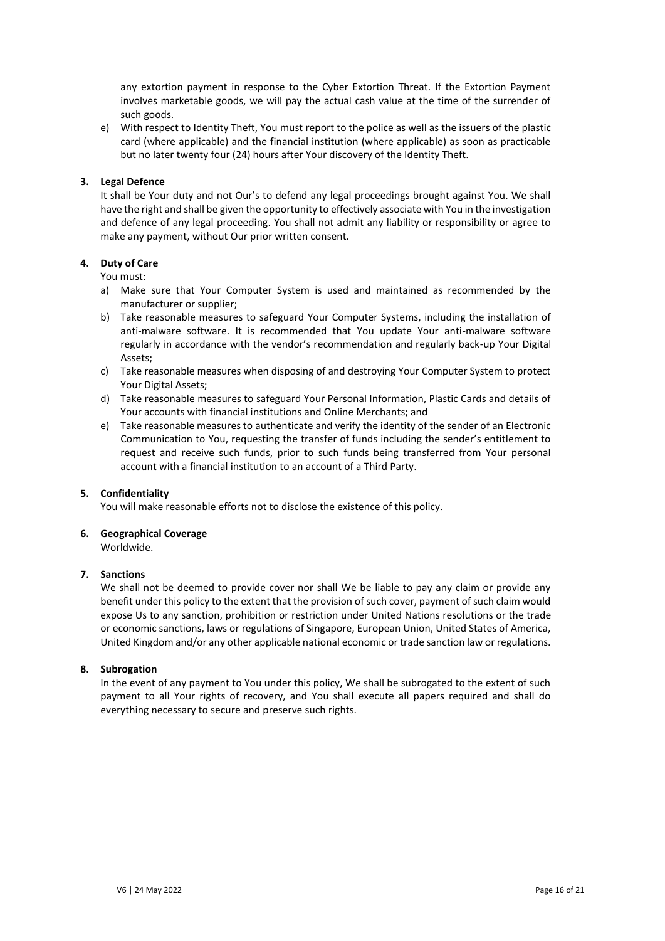any extortion payment in response to the Cyber Extortion Threat. If the Extortion Payment involves marketable goods, we will pay the actual cash value at the time of the surrender of such goods.

e) With respect to Identity Theft, You must report to the police as well as the issuers of the plastic card (where applicable) and the financial institution (where applicable) as soon as practicable but no later twenty four (24) hours after Your discovery of the Identity Theft.

# **3. Legal Defence**

It shall be Your duty and not Our's to defend any legal proceedings brought against You. We shall have the right and shall be given the opportunity to effectively associate with You in the investigation and defence of any legal proceeding. You shall not admit any liability or responsibility or agree to make any payment, without Our prior written consent.

# **4. Duty of Care**

You must:

- a) Make sure that Your Computer System is used and maintained as recommended by the manufacturer or supplier;
- b) Take reasonable measures to safeguard Your Computer Systems, including the installation of anti-malware software. It is recommended that You update Your anti-malware software regularly in accordance with the vendor's recommendation and regularly back-up Your Digital Assets;
- c) Take reasonable measures when disposing of and destroying Your Computer System to protect Your Digital Assets;
- d) Take reasonable measures to safeguard Your Personal Information, Plastic Cards and details of Your accounts with financial institutions and Online Merchants; and
- e) Take reasonable measures to authenticate and verify the identity of the sender of an Electronic Communication to You, requesting the transfer of funds including the sender's entitlement to request and receive such funds, prior to such funds being transferred from Your personal account with a financial institution to an account of a Third Party.

#### **5. Confidentiality**

You will make reasonable efforts not to disclose the existence of this policy.

# **6. Geographical Coverage**

Worldwide.

# **7. Sanctions**

We shall not be deemed to provide cover nor shall We be liable to pay any claim or provide any benefit under this policy to the extent that the provision of such cover, payment of such claim would expose Us to any sanction, prohibition or restriction under United Nations resolutions or the trade or economic sanctions, laws or regulations of Singapore, European Union, United States of America, United Kingdom and/or any other applicable national economic or trade sanction law or regulations.

#### **8. Subrogation**

In the event of any payment to You under this policy, We shall be subrogated to the extent of such payment to all Your rights of recovery, and You shall execute all papers required and shall do everything necessary to secure and preserve such rights.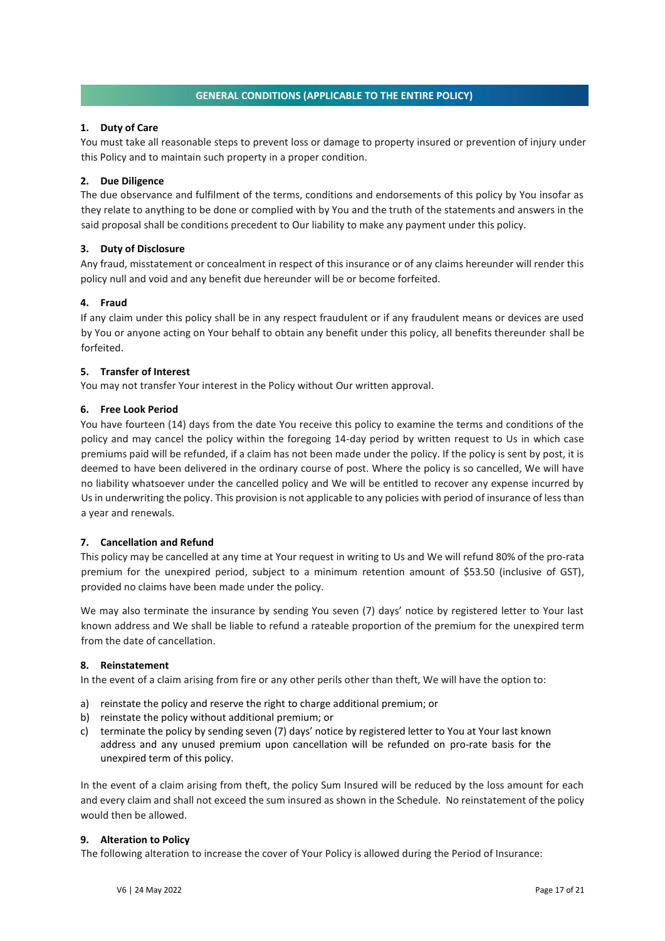# **GENERAL CONDITIONS (APPLICABLE TO THE ENTIRE POLICY)**

# **1. Duty of Care**

You must take all reasonable steps to prevent loss or damage to property insured or prevention of injury under this Policy and to maintain such property in a proper condition.

# **2. Due Diligence**

The due observance and fulfilment of the terms, conditions and endorsements of this policy by You insofar as they relate to anything to be done or complied with by You and the truth of the statements and answers in the said proposal shall be conditions precedent to Our liability to make any payment under this policy.

## **3. Duty of Disclosure**

Any fraud, misstatement or concealment in respect of this insurance or of any claims hereunder will render this policy null and void and any benefit due hereunder will be or become forfeited.

## **4. Fraud**

If any claim under this policy shall be in any respect fraudulent or if any fraudulent means or devices are used by You or anyone acting on Your behalf to obtain any benefit under this policy, all benefits thereunder shall be forfeited.

# **5. Transfer of Interest**

You may not transfer Your interest in the Policy without Our written approval.

## **6. Free Look Period**

You have fourteen (14) days from the date You receive this policy to examine the terms and conditions of the policy and may cancel the policy within the foregoing 14-day period by written request to Us in which case premiums paid will be refunded, if a claim has not been made under the policy. If the policy is sent by post, it is deemed to have been delivered in the ordinary course of post. Where the policy is so cancelled, We will have no liability whatsoever under the cancelled policy and We will be entitled to recover any expense incurred by Us in underwriting the policy. This provision is not applicable to any policies with period of insurance of less than a year and renewals.

#### **7. Cancellation and Refund**

This policy may be cancelled at any time at Your request in writing to Us and We will refund 80% of the pro-rata premium for the unexpired period, subject to a minimum retention amount of \$53.50 (inclusive of GST), provided no claims have been made under the policy.

We may also terminate the insurance by sending You seven (7) days' notice by registered letter to Your last known address and We shall be liable to refund a rateable proportion of the premium for the unexpired term from the date of cancellation.

# **8. Reinstatement**

In the event of a claim arising from fire or any other perils other than theft, We will have the option to:

- a) reinstate the policy and reserve the right to charge additional premium; or
- b) reinstate the policy without additional premium; or
- c) terminate the policy by sending seven (7) days' notice by registered letter to You at Your last known address and any unused premium upon cancellation will be refunded on pro-rate basis for the unexpired term of this policy.

In the event of a claim arising from theft, the policy Sum Insured will be reduced by the loss amount for each and every claim and shall not exceed the sum insured as shown in the Schedule. No reinstatement of the policy would then be allowed.

#### **9. Alteration to Policy**

The following alteration to increase the cover of Your Policy is allowed during the Period of Insurance: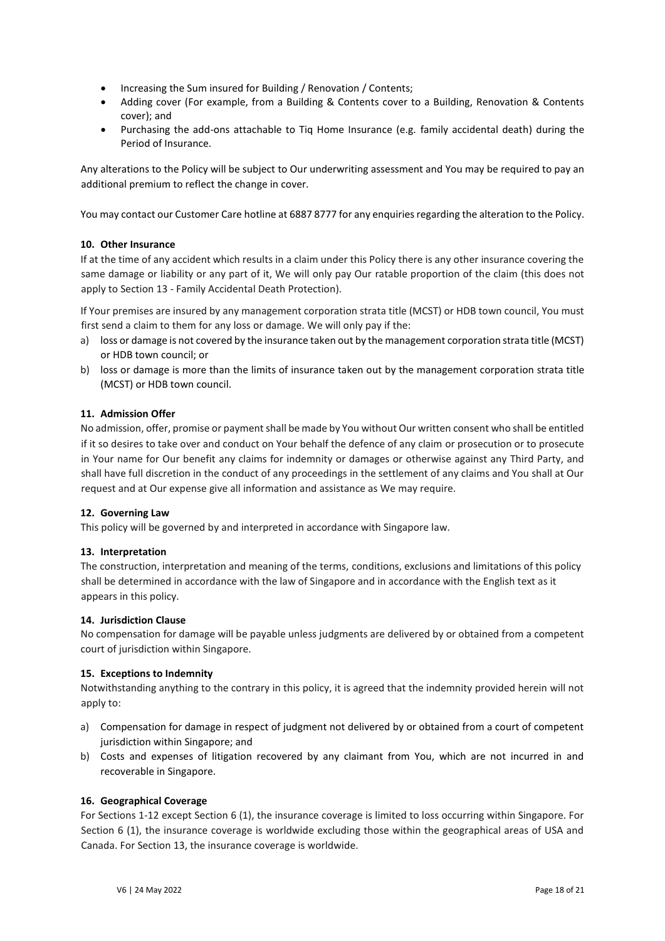- Increasing the Sum insured for Building / Renovation / Contents;
- Adding cover (For example, from a Building & Contents cover to a Building, Renovation & Contents cover); and
- Purchasing the add-ons attachable to Tiq Home Insurance (e.g. family accidental death) during the Period of Insurance.

Any alterations to the Policy will be subject to Our underwriting assessment and You may be required to pay an additional premium to reflect the change in cover.

You may contact our Customer Care hotline at 6887 8777 for any enquiries regarding the alteration to the Policy.

# **10. Other Insurance**

If at the time of any accident which results in a claim under this Policy there is any other insurance covering the same damage or liability or any part of it, We will only pay Our ratable proportion of the claim (this does not apply to Section 13 - Family Accidental Death Protection).

If Your premises are insured by any management corporation strata title (MCST) or HDB town council, You must first send a claim to them for any loss or damage. We will only pay if the:

- a) loss or damage is not covered by the insurance taken out by the management corporation strata title (MCST) or HDB town council; or
- b) loss or damage is more than the limits of insurance taken out by the management corporation strata title (MCST) or HDB town council.

# **11. Admission Offer**

No admission, offer, promise or payment shall be made by You without Our written consent who shall be entitled if it so desires to take over and conduct on Your behalf the defence of any claim or prosecution or to prosecute in Your name for Our benefit any claims for indemnity or damages or otherwise against any Third Party, and shall have full discretion in the conduct of any proceedings in the settlement of any claims and You shall at Our request and at Our expense give all information and assistance as We may require.

# **12. Governing Law**

This policy will be governed by and interpreted in accordance with Singapore law.

# **13. Interpretation**

The construction, interpretation and meaning of the terms, conditions, exclusions and limitations of this policy shall be determined in accordance with the law of Singapore and in accordance with the English text as it appears in this policy.

# **14. Jurisdiction Clause**

No compensation for damage will be payable unless judgments are delivered by or obtained from a competent court of jurisdiction within Singapore.

# **15. Exceptions to Indemnity**

Notwithstanding anything to the contrary in this policy, it is agreed that the indemnity provided herein will not apply to:

- a) Compensation for damage in respect of judgment not delivered by or obtained from a court of competent jurisdiction within Singapore; and
- b) Costs and expenses of litigation recovered by any claimant from You, which are not incurred in and recoverable in Singapore.

# **16. Geographical Coverage**

For Sections 1-12 except Section 6 (1), the insurance coverage is limited to loss occurring within Singapore. For Section 6 (1), the insurance coverage is worldwide excluding those within the geographical areas of USA and Canada. For Section 13, the insurance coverage is worldwide.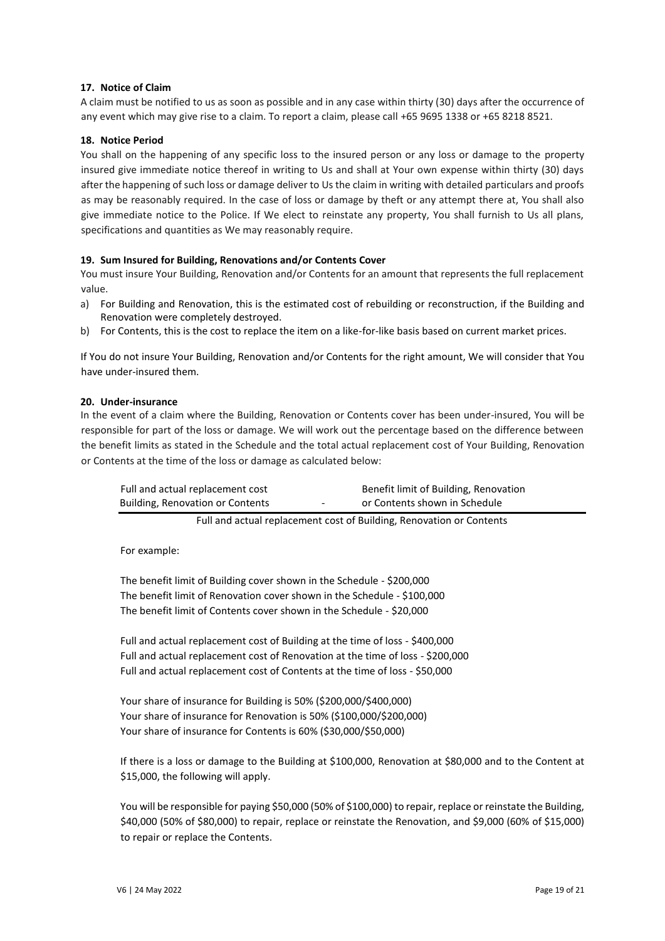# **17. Notice of Claim**

A claim must be notified to us as soon as possible and in any case within thirty (30) days after the occurrence of any event which may give rise to a claim. To report a claim, please call +65 9695 1338 or +65 8218 8521.

## **18. Notice Period**

You shall on the happening of any specific loss to the insured person or any loss or damage to the property insured give immediate notice thereof in writing to Us and shall at Your own expense within thirty (30) days after the happening of such loss or damage deliver to Us the claim in writing with detailed particulars and proofs as may be reasonably required. In the case of loss or damage by theft or any attempt there at, You shall also give immediate notice to the Police. If We elect to reinstate any property, You shall furnish to Us all plans, specifications and quantities as We may reasonably require.

## **19. Sum Insured for Building, Renovations and/or Contents Cover**

You must insure Your Building, Renovation and/or Contents for an amount that represents the full replacement value.

- a) For Building and Renovation, this is the estimated cost of rebuilding or reconstruction, if the Building and Renovation were completely destroyed.
- b) For Contents, this is the cost to replace the item on a like-for-like basis based on current market prices.

If You do not insure Your Building, Renovation and/or Contents for the right amount, We will consider that You have under-insured them.

#### **20. Under-insurance**

In the event of a claim where the Building, Renovation or Contents cover has been under-insured, You will be responsible for part of the loss or damage. We will work out the percentage based on the difference between the benefit limits as stated in the Schedule and the total actual replacement cost of Your Building, Renovation or Contents at the time of the loss or damage as calculated below:

| Full and actual replacement cost |   | Benefit limit of Building, Renovation |
|----------------------------------|---|---------------------------------------|
| Building, Renovation or Contents | - | or Contents shown in Schedule         |

Full and actual replacement cost of Building, Renovation or Contents

For example:

The benefit limit of Building cover shown in the Schedule - \$200,000 The benefit limit of Renovation cover shown in the Schedule - \$100,000 The benefit limit of Contents cover shown in the Schedule - \$20,000

Full and actual replacement cost of Building at the time of loss - \$400,000 Full and actual replacement cost of Renovation at the time of loss - \$200,000 Full and actual replacement cost of Contents at the time of loss - \$50,000

Your share of insurance for Building is 50% (\$200,000/\$400,000) Your share of insurance for Renovation is 50% (\$100,000/\$200,000) Your share of insurance for Contents is 60% (\$30,000/\$50,000)

If there is a loss or damage to the Building at \$100,000, Renovation at \$80,000 and to the Content at \$15,000, the following will apply.

You will be responsible for paying \$50,000 (50% of \$100,000) to repair, replace or reinstate the Building, \$40,000 (50% of \$80,000) to repair, replace or reinstate the Renovation, and \$9,000 (60% of \$15,000) to repair or replace the Contents.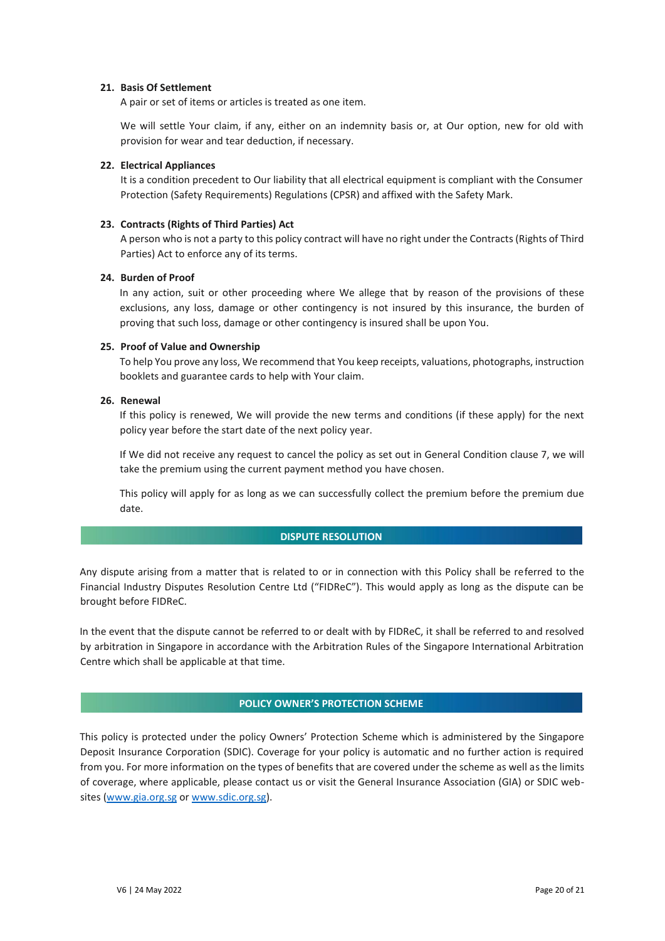## **21. Basis Of Settlement**

A pair or set of items or articles is treated as one item.

We will settle Your claim, if any, either on an indemnity basis or, at Our option, new for old with provision for wear and tear deduction, if necessary.

#### **22. Electrical Appliances**

It is a condition precedent to Our liability that all electrical equipment is compliant with the Consumer Protection (Safety Requirements) Regulations (CPSR) and affixed with the Safety Mark.

#### **23. Contracts (Rights of Third Parties) Act**

A person who is not a party to this policy contract will have no right under the Contracts (Rights of Third Parties) Act to enforce any of its terms.

# **24. Burden of Proof**

In any action, suit or other proceeding where We allege that by reason of the provisions of these exclusions, any loss, damage or other contingency is not insured by this insurance, the burden of proving that such loss, damage or other contingency is insured shall be upon You.

## **25. Proof of Value and Ownership**

To help You prove any loss, We recommend that You keep receipts, valuations, photographs, instruction booklets and guarantee cards to help with Your claim.

## **26. Renewal**

If this policy is renewed, We will provide the new terms and conditions (if these apply) for the next policy year before the start date of the next policy year.

If We did not receive any request to cancel the policy as set out in General Condition clause 7, we will take the premium using the current payment method you have chosen.

This policy will apply for as long as we can successfully collect the premium before the premium due date.

#### **DISPUTE RESOLUTION**

Any dispute arising from a matter that is related to or in connection with this Policy shall be referred to the Financial Industry Disputes Resolution Centre Ltd ("FIDReC"). This would apply as long as the dispute can be brought before FIDReC.

In the event that the dispute cannot be referred to or dealt with by FIDReC, it shall be referred to and resolved by arbitration in Singapore in accordance with the Arbitration Rules of the Singapore International Arbitration Centre which shall be applicable at that time.

#### **POLICY OWNER'S PROTECTION SCHEME**

This policy is protected under the policy Owners' Protection Scheme which is administered by the Singapore Deposit Insurance Corporation (SDIC). Coverage for your policy is automatic and no further action is required from you. For more information on the types of benefits that are covered under the scheme as well as the limits of coverage, where applicable, please contact us or visit the General Insurance Association (GIA) or SDIC websites [\(www.gia.org.sg](http://www.gia.org.sg/) or [www.sdic.org.sg\)](http://www.sdic.org.sg/).